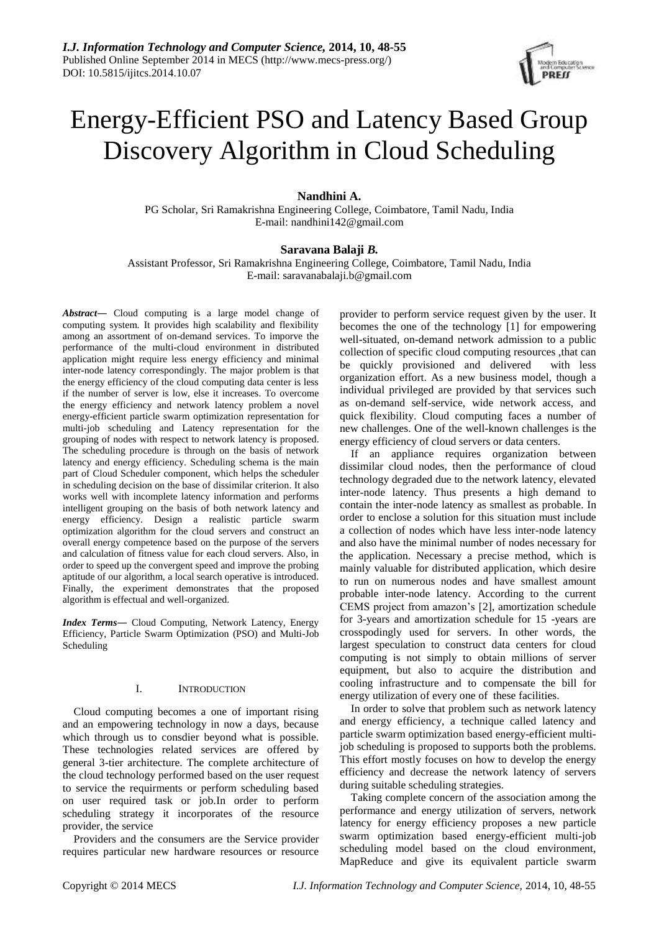

# Energy-Efficient PSO and Latency Based Group Discovery Algorithm in Cloud Scheduling

## **Nandhini A.**

PG Scholar, Sri Ramakrishna Engineering College, Coimbatore, Tamil Nadu, India E-mail: nandhini142@gmail.com

### **Saravana Balaji** *B.*

Assistant Professor, Sri Ramakrishna Engineering College, Coimbatore, Tamil Nadu, India E-mail: saravanabalaji.b@gmail.com

*Abstract―* Cloud computing is a large model change of computing system. It provides high scalability and flexibility among an assortment of on-demand services. To imporve the performance of the multi-cloud environment in distributed application might require less energy efficiency and minimal inter-node latency correspondingly. The major problem is that the energy efficiency of the cloud computing data center is less if the number of server is low, else it increases. To overcome the energy efficiency and network latency problem a novel energy-efficient particle swarm optimization representation for multi-job scheduling and Latency representation for the grouping of nodes with respect to network latency is proposed. The scheduling procedure is through on the basis of network latency and energy efficiency. Scheduling schema is the main part of Cloud Scheduler component, which helps the scheduler in scheduling decision on the base of dissimilar criterion. It also works well with incomplete latency information and performs intelligent grouping on the basis of both network latency and energy efficiency. Design a realistic particle swarm optimization algorithm for the cloud servers and construct an overall energy competence based on the purpose of the servers and calculation of fitness value for each cloud servers. Also, in order to speed up the convergent speed and improve the probing aptitude of our algorithm, a local search operative is introduced. Finally, the experiment demonstrates that the proposed algorithm is effectual and well-organized.

*Index Terms―* Cloud Computing, Network Latency, Energy Efficiency, Particle Swarm Optimization (PSO) and Multi-Job Scheduling

## I. INTRODUCTION

Cloud computing becomes a one of important rising and an empowering technology in now a days, because which through us to consdier beyond what is possible. These technologies related services are offered by general 3-tier architecture. The complete architecture of the cloud technology performed based on the user request to service the requirments or perform scheduling based on user required task or job.In order to perform scheduling strategy it incorporates of the resource provider, the service

Providers and the consumers are the Service provider requires particular new hardware resources or resource

provider to perform service request given by the user. It becomes the one of the technology [1] for empowering well-situated, on-demand network admission to a public collection of specific cloud computing resources ,that can be quickly provisioned and delivered with less organization effort. As a new business model, though a individual privileged are provided by that services such as on-demand self-service, wide network access, and quick flexibility. Cloud computing faces a number of new challenges. One of the well-known challenges is the energy efficiency of cloud servers or data centers.

If an appliance requires organization between dissimilar cloud nodes, then the performance of cloud technology degraded due to the network latency, elevated inter-node latency. Thus presents a high demand to contain the inter-node latency as smallest as probable. In order to enclose a solution for this situation must include a collection of nodes which have less inter-node latency and also have the minimal number of nodes necessary for the application. Necessary a precise method, which is mainly valuable for distributed application, which desire to run on numerous nodes and have smallest amount probable inter-node latency. According to the current CEMS project from amazon's [2], amortization schedule for 3-years and amortization schedule for 15 -years are crosspodingly used for servers. In other words, the largest speculation to construct data centers for cloud computing is not simply to obtain millions of server equipment, but also to acquire the distribution and cooling infrastructure and to compensate the bill for energy utilization of every one of these facilities.

In order to solve that problem such as network latency and energy efficiency, a technique called latency and particle swarm optimization based energy-efficient multijob scheduling is proposed to supports both the problems. This effort mostly focuses on how to develop the energy efficiency and decrease the network latency of servers during suitable scheduling strategies.

Taking complete concern of the association among the performance and energy utilization of servers, network latency for energy efficiency proposes a new particle swarm optimization based energy-efficient multi-job scheduling model based on the cloud environment, MapReduce and give its equivalent particle swarm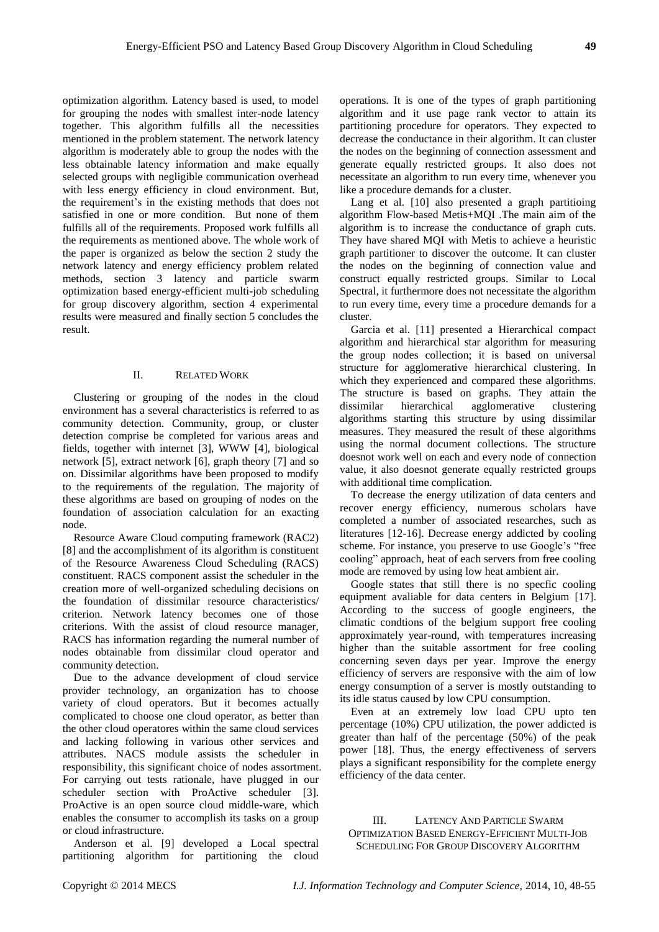optimization algorithm. Latency based is used, to model for grouping the nodes with smallest inter-node latency together. This algorithm fulfills all the necessities mentioned in the problem statement. The network latency algorithm is moderately able to group the nodes with the less obtainable latency information and make equally selected groups with negligible communication overhead with less energy efficiency in cloud environment. But, the requirement's in the existing methods that does not satisfied in one or more condition. But none of them fulfills all of the requirements. Proposed work fulfills all the requirements as mentioned above. The whole work of the paper is organized as below the section 2 study the network latency and energy efficiency problem related methods, section 3 latency and particle swarm optimization based energy-efficient multi-job scheduling for group discovery algorithm, section 4 experimental results were measured and finally section 5 concludes the result.

#### II. RELATED WORK

Clustering or grouping of the nodes in the cloud environment has a several characteristics is referred to as community detection. Community, group, or cluster detection comprise be completed for various areas and fields, together with internet [3], WWW [4], biological network [5], extract network [6], graph theory [7] and so on. Dissimilar algorithms have been proposed to modify to the requirements of the regulation. The majority of these algorithms are based on grouping of nodes on the foundation of association calculation for an exacting node.

Resource Aware Cloud computing framework (RAC2) [8] and the accomplishment of its algorithm is constituent of the Resource Awareness Cloud Scheduling (RACS) constituent. RACS component assist the scheduler in the creation more of well-organized scheduling decisions on the foundation of dissimilar resource characteristics/ criterion. Network latency becomes one of those criterions. With the assist of cloud resource manager, RACS has information regarding the numeral number of nodes obtainable from dissimilar cloud operator and community detection.

Due to the advance development of cloud service provider technology, an organization has to choose variety of cloud operators. But it becomes actually complicated to choose one cloud operator, as better than the other cloud operatores within the same cloud services and lacking following in various other services and attributes. NACS module assists the scheduler in responsibility, this significant choice of nodes assortment. For carrying out tests rationale, have plugged in our scheduler section with ProActive scheduler [3]. ProActive is an open source cloud middle-ware, which enables the consumer to accomplish its tasks on a group or cloud infrastructure.

Anderson et al. [9] developed a Local spectral partitioning algorithm for partitioning the cloud

operations. It is one of the types of graph partitioning algorithm and it use page rank vector to attain its partitioning procedure for operators. They expected to decrease the conductance in their algorithm. It can cluster the nodes on the beginning of connection assessment and generate equally restricted groups. It also does not necessitate an algorithm to run every time, whenever you like a procedure demands for a cluster.

Lang et al. [10] also presented a graph partitioing algorithm Flow-based Metis+MQI .The main aim of the algorithm is to increase the conductance of graph cuts. They have shared MQI with Metis to achieve a heuristic graph partitioner to discover the outcome. It can cluster the nodes on the beginning of connection value and construct equally restricted groups. Similar to Local Spectral, it furthermore does not necessitate the algorithm to run every time, every time a procedure demands for a cluster.

Garcia et al. [11] presented a Hierarchical compact algorithm and hierarchical star algorithm for measuring the group nodes collection; it is based on universal structure for agglomerative hierarchical clustering. In which they experienced and compared these algorithms. The structure is based on graphs. They attain the dissimilar hierarchical agglomerative clustering algorithms starting this structure by using dissimilar measures. They measured the result of these algorithms using the normal document collections. The structure doesnot work well on each and every node of connection value, it also doesnot generate equally restricted groups with additional time complication.

To decrease the energy utilization of data centers and recover energy efficiency, numerous scholars have completed a number of associated researches, such as literatures [12-16]. Decrease energy addicted by cooling scheme. For instance, you preserve to use Google's "free cooling" approach, heat of each servers from free cooling mode are removed by using low heat ambient air.

Google states that still there is no specfic cooling equipment avaliable for data centers in Belgium [17]. According to the success of google engineers, the climatic condtions of the belgium support free cooling approximately year-round, with temperatures increasing higher than the suitable assortment for free cooling concerning seven days per year. Improve the energy efficiency of servers are responsive with the aim of low energy consumption of a server is mostly outstanding to its idle status caused by low CPU consumption.

Even at an extremely low load CPU upto ten percentage (10%) CPU utilization, the power addicted is greater than half of the percentage (50%) of the peak power [18]. Thus, the energy effectiveness of servers plays a significant responsibility for the complete energy efficiency of the data center.

## III. LATENCY AND PARTICLE SWARM OPTIMIZATION BASED ENERGY-EFFICIENT MULTI-JOB SCHEDULING FOR GROUP DISCOVERY ALGORITHM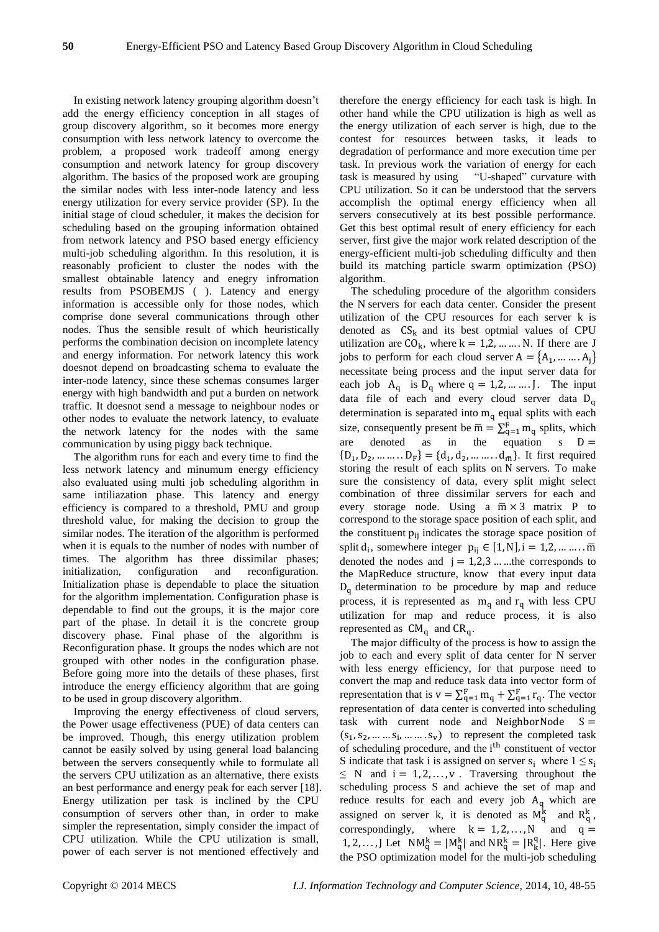In existing network latency grouping algorithm doesn't add the energy efficiency conception in all stages of group discovery algorithm, so it becomes more energy consumption with less network latency to overcome the problem, a proposed work tradeoff among energy consumption and network latency for group discovery algorithm. The basics of the proposed work are grouping the similar nodes with less inter-node latency and less energy utilization for every service provider (SP). In the initial stage of cloud scheduler, it makes the decision for scheduling based on the grouping information obtained from network latency and PSO based energy efficiency multi-job scheduling algorithm. In this resolution, it is reasonably proficient to cluster the nodes with the smallest obtainable latency and enegry infromation results from PSOBEMJS ( ). Latency and energy information is accessible only for those nodes, which comprise done several communications through other nodes. Thus the sensible result of which heuristically performs the combination decision on incomplete latency and energy information. For network latency this work doesnot depend on broadcasting schema to evaluate the inter-node latency, since these schemas consumes larger energy with high bandwidth and put a burden on network traffic. It doesnot send a message to neighbour nodes or other nodes to evaluate the network latency, to evaluate the network latency for the nodes with the same communication by using piggy back technique.

The algorithm runs for each and every time to find the less network latency and minumum energy efficiency also evaluated using multi job scheduling algorithm in same intiliazation phase. This latency and energy efficiency is compared to a threshold, PMU and group threshold value, for making the decision to group the similar nodes. The iteration of the algorithm is performed when it is equals to the number of nodes with number of times. The algorithm has three dissimilar phases; initialization, configuration and reconfiguration. Initialization phase is dependable to place the situation for the algorithm implementation. Configuration phase is dependable to find out the groups, it is the major core part of the phase. In detail it is the concrete group discovery phase. Final phase of the algorithm is Reconfiguration phase. It groups the nodes which are not grouped with other nodes in the configuration phase. Before going more into the details of these phases, first introduce the energy efficiency algorithm that are going to be used in group discovery algorithm.

Improving the energy effectiveness of cloud servers, the Power usage effectiveness (PUE) of data centers can be improved. Though, this energy utilization problem cannot be easily solved by using general load balancing between the servers consequently while to formulate all the servers CPU utilization as an alternative, there exists an best performance and energy peak for each server [18]. Energy utilization per task is inclined by the CPU consumption of servers other than, in order to make simpler the representation, simply consider the impact of CPU utilization. While the CPU utilization is small, power of each server is not mentioned effectively and

therefore the energy efficiency for each task is high. In other hand while the CPU utilization is high as well as the energy utilization of each server is high, due to the contest for resources between tasks, it leads to degradation of performance and more execution time per task. In previous work the variation of energy for each task is measured by using "U-shaped" curvature with CPU utilization. So it can be understood that the servers accomplish the optimal energy efficiency when all servers consecutively at its best possible performance. Get this best optimal result of enery efficiency for each server, first give the major work related description of the energy-efficient multi-job scheduling difficulty and then build its matching particle swarm optimization (PSO) algorithm.

The scheduling procedure of the algorithm considers the N servers for each data center. Consider the present utilization of the CPU resources for each server k is denoted as  $CS_k$  and its best optmial values of CPU utilization are  $CO_k$ , where  $k = 1, 2, \dots, N$ . If there are J jobs to perform for each cloud server  $A = \{A_1, ..., A_j\}$ necessitate being process and the input server data for each job  $A_q$  is  $D_q$  where  $q = 1, 2, \dots, J$ . The input data file of each and every cloud server data D<sub>q</sub> determination is separated into  $m_q$  equal splits with each size, consequently present be  $\overline{m} = \sum_{q=1}^{F} m_q$  splits, which are denoted as in the equation  $s$   $D =$  ${D_1, D_2, \dots, D_F} = {d_1, d_2, \dots, d_{\overline{m}}}.$  It first required storing the result of each splits on N servers. To make sure the consistency of data, every split might select combination of three dissimilar servers for each and every storage node. Using a  $\overline{m} \times 3$  matrix P to correspond to the storage space position of each split, and the constituent  $p_{ii}$  indicates the storage space position of split  $d_i$ , somewhere integer  $p_{ij} \in [1, N]$ , i = 1,2, ... ... .. m denoted the nodes and  $j = 1,2,3...$  … the corresponds to the MapReduce structure, know that every input data  $D_q$  determination to be procedure by map and reduce process, it is represented as  $m_q$  and  $r_q$  with less CPU utilization for map and reduce process, it is also represented as  $CM_{q}$  and  $CR_{q}$ .

The major difficulty of the process is how to assign the job to each and every split of data center for N server with less energy efficiency, for that purpose need to convert the map and reduce task data into vector form of representation that is  $v = \sum_{q=1}^{F} m_q + \sum_{q=1}^{F} r_q$ . The vector representation of data center is converted into scheduling task with current node and NeighborNode  $S =$  $(s_1, s_2, \ldots s_i, \ldots s_v)$  to represent the completed task of scheduling procedure, and the i<sup>th</sup> constituent of vector S indicate that task i is assigned on server  $s_i$  where  $1 \le s_i$  $\leq N$  and  $i = 1, 2, ..., v$ . Traversing throughout the scheduling process S and achieve the set of map and reduce results for each and every job  $A_q$  which are assigned on server k, it is denoted as  $M_q^k$  and  $R_q^k$ , correspondingly, where  $k = 1, 2, ..., N$  and  $q =$ 1, 2, ..., J Let  $NM_q^k = |M_q^k|$  and  $NR_q^k = |R_k^q|$ . Here give the PSO optimization model for the multi-job scheduling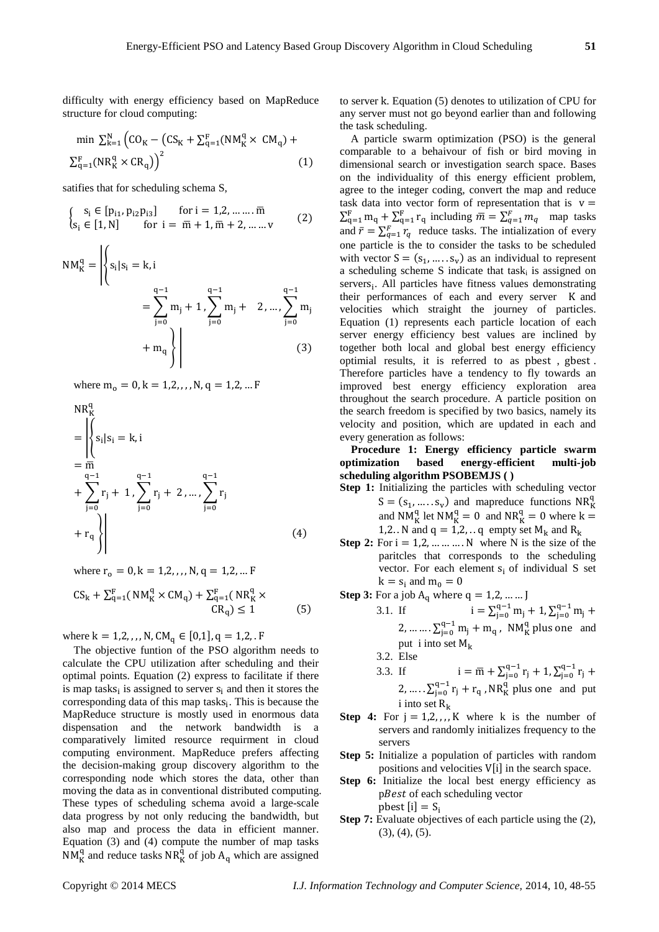difficulty with energy efficiency based on MapReduce structure for cloud computing:

$$
\min \sum_{k=1}^{N} \left( CO_K - \left( CS_K + \sum_{q=1}^{F} (NM_K^q \times CM_q) + \right) \right)
$$
  

$$
\sum_{q=1}^{F} (NR_K^q \times CR_q) \Big)^2
$$
 (1)

satifies that for scheduling schema S,

$$
\begin{cases}\ns_i \in [p_{i1}, p_{i2}p_{i3}] & \text{for } i = 1, 2, \dots, \overline{m} \\
s_i \in [1, N] & \text{for } i = \overline{m} + 1, \overline{m} + 2, \dots, v\n\end{cases}
$$
\n(2)

$$
NM_K^q = \left| \left\{ s_i | s_i = k, i \right\}
$$
  
=  $\sum_{j=0}^{q-1} m_j + 1, \sum_{j=0}^{q-1} m_j + 2, ..., \sum_{j=0}^{q-1} m_j + m_q \right\}$  (3)

where  $m_0 = 0, k = 1, 2, \ldots, N, q = 1, 2, \ldots F$ 

$$
NR_K^q
$$
  
=  $\left| \begin{cases} s_i | s_i = k, i \\ s_i | s_i = k, i \end{cases} \right|$   
+  $\sum_{j=0}^{q-1} r_j + 1, \sum_{j=0}^{q-1} r_j + 2, ..., \sum_{j=0}^{q-1} r_j$   
+  $r_q \right|$  (4)

where  $r_0 = 0, k = 1, 2, \ldots, N, q = 1, 2, \ldots F$ 

$$
CS_{k} + \sum_{q=1}^{F} (NM_{K}^{q} \times CM_{q}) + \sum_{q=1}^{F} (NR_{K}^{q} \times CR_{q}) \le 1
$$
 (5)

where  $k = 1, 2, ..., N$ ,  $CM_q \in [0, 1], q = 1, 2,$ . F

The objective funtion of the PSO algorithm needs to calculate the CPU utilization after scheduling and their optimal points. Equation (2) express to facilitate if there is map tasks<sub>i</sub> is assigned to server  $s_i$  and then it stores the corresponding data of this map tasks $_i$ . This is because the MapReduce structure is mostly used in enormous data dispensation and the network bandwidth is a comparatively limited resource requirment in cloud computing environment. MapReduce prefers affecting the decision-making group discovery algorithm to the corresponding node which stores the data, other than moving the data as in conventional distributed computing. These types of scheduling schema avoid a large-scale data progress by not only reducing the bandwidth, but also map and process the data in efficient manner. Equation (3) and (4) compute the number of map tasks  $NM_K^q$  and reduce tasks  $NR_K^{\tilde{q}}$  of job  $A_q$  which are assigned

to server k. Equation (5) denotes to utilization of CPU for any server must not go beyond earlier than and following the task scheduling.

A particle swarm optimization (PSO) is the general comparable to a behaivour of fish or bird moving in dimensional search or investigation search space. Bases on the individuality of this energy efficient problem, agree to the integer coding, convert the map and reduce task data into vector form of representation that is  $v =$  $\sum_{q=1}^{F} m_q + \sum_{q=1}^{F} r_q$  including  $\overline{m} = \sum_{q=1}^{F} m_q$  map tasks and  $\bar{r} = \sum_{q=1}^{F} r_q$  reduce tasks. The intialization of every one particle is the to consider the tasks to be scheduled with vector  $S = (s_1, ..., s_v)$  as an individual to represent a scheduling scheme S indicate that task<sub>i</sub> is assigned on servers<sub>i</sub>. All particles have fitness values demonstrating their performances of each and every server K and velocities which straight the journey of particles. Equation (1) represents each particle location of each server energy efficiency best values are inclined by together both local and global best energy efficiency optimial results, it is referred to as pbest , gbest . Therefore particles have a tendency to fly towards an improved best energy efficiency exploration area throughout the search procedure. A particle position on the search freedom is specified by two basics, namely its velocity and position, which are updated in each and every generation as follows:

**Procedure 1: Energy efficiency particle swarm optimization based energy-efficient multi-job scheduling algorithm PSOBEMJS ( )**

- **Step 1:** Initializing the particles with scheduling vector  $S = (s_1, \dots, s_v)$  and mapreduce functions  $NR_K^q$ and NM<sub>K</sub><sup>d</sup> let NM<sub>K</sub><sup>d</sup> = 0 and NR<sub>K</sub><sup>d</sup> = 0 where k = 1,2. N and  $q = 1,2, \ldots q$  empty set  $M_k$  and  $R_k$
- **Step 2:** For  $i = 1, 2, \dots, N$  where N is the size of the paritcles that corresponds to the scheduling vector. For each element s<sub>i</sub> of individual S set  $k = s_i$  and  $m_0 = 0$

**Step 3:** For a job 
$$
A_q
$$
 where  $q = 1, 2, .......$   
 $q = 1$ 

- 3.1. If  $i = \sum_{j=0}^{q-1} m_j + 1, \sum_{j=0}^{q-1} m_j +$ 2, ... ... .  $\sum_{j=0}^{q-1} m_j + m_q$ , NM<sup>q</sup><sub>K</sub> plus one and put i into set  $M_k$ 3.2. Else
- 3.3. If  $i = \overline{m} + \sum_{j=0}^{q-1} r_j + 1, \sum_{j=0}^{q-1} r_j +$ 2, ... .  $\sum_{j=0}^{q-1} r_j + r_q$ , NR<sup>q</sup><sub>K</sub> plus one and put i into set  $R_k$
- **Step 4:** For  $j = 1, 2, \ldots, K$  where k is the number of servers and randomly initializes frequency to the servers
- **Step 5:** Initialize a population of particles with random positions and velocities V[i] in the search space.
- **Step 6:** Initialize the local best energy efficiency as pBest of each scheduling vector pbest  $[i] = S_i$
- **Step 7:** Evaluate objectives of each particle using the  $(2)$ ,  $(3)$ ,  $(4)$ ,  $(5)$ .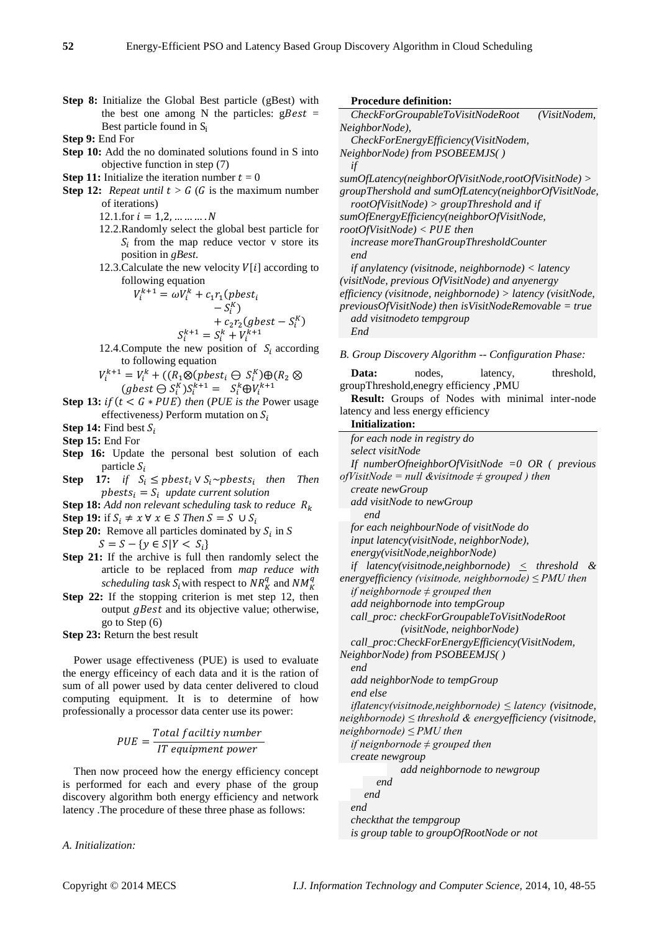**Step 8:** Initialize the Global Best particle (gBest) with the best one among N the particles:  $gBest =$ Best particle found in S<sub>i</sub>

**Step 9:** End For

- **Step 10:** Add the no dominated solutions found in S into objective function in step (7)
- **Step 11:** Initialize the iteration number  $t = 0$
- **Step 12:** *Repeat until*  $t > G$  (*G* is the maximum number of iterations)
	- 12.1.for  $i = 1, 2, ..., ..., N$
	- 12.2.Randomly select the global best particle for  $S_i$  from the map reduce vector v store its position in *gBest*.
	- 12.3. Calculate the new velocity  $V[i]$  according to following equation

$$
V_i^{k+1} = \omega V_i^k + c_1 r_1 (pbest_i
$$
  

$$
- S_i^K)
$$
  

$$
+ c_2 r_2 (gbest - S_i^K)
$$
  

$$
S_i^{k+1} = S_i^k + V_i^{k+1}
$$

12.4. Compute the new position of  $S_i$  according to following equation

 $V_i^{k+1} = V_i^k + ((R_1 \otimes (pbest_i \ominus S_i^K) \oplus (R_2 \otimes$  $(gbest \ominus S_i^K)S_i^{k+1} = S_i^k \oplus V_i^{k+1}$ 

**Step 13:**  $if(t < G * PUE)$  *then (PUE is the Power usage* effectiveness) Perform mutation on  $S_i$ 

**Step 14:** Find best  $S_i$ 

- **Step 15:** End For
- **Step 16:** Update the personal best solution of each particle  $S_i$
- **Step** 17: *if*  $S_i \leq pbest_i \vee S_i \sim pbest_i$  then Then  $pbests_i = S_i$  update current solution
- **Step 18:** *Add non relevant scheduling task to reduce*
- **Step 19:** if  $S_i \neq x \forall x \in S$  Then  $S = S \cup S_i$
- **Step 20:** Remove all particles dominated by  $S_i$  in *S*  $S = S - \{ y \in S | Y < S_i \}$
- **Step 21:** If the archive is full then randomly select the article to be replaced from *map reduce with scheduling task*  $S_i$  with respect to  $NR_K^q$  and  $NM_K^q$
- **Step 22:** If the stopping criterion is met step 12, then output  $qBest$  and its objective value; otherwise, go to Step (6)

**Step 23:** Return the best result

Power usage effectiveness (PUE) is used to evaluate the energy efficeincy of each data and it is the ration of sum of all power used by data center delivered to cloud computing equipment. It is to determine of how professionally a processor data center use its power:

$$
PUE = \frac{Total facility number}{IT equipment power}
$$

Then now proceed how the energy efficiency concept is performed for each and every phase of the group discovery algorithm both energy efficiency and network latency .The procedure of these three phase as follows:

*A. Initialization:*

#### **Procedure definition:**

*CheckForGroupableToVisitNodeRoot (VisitNodem, NeighborNode), CheckForEnergyEfficiency(VisitNodem, NeighborNode) from PSOBEEMJS( ) if sumOfLatency(neighborOfVisitNode,rootOfVisitNode) > groupThershold and sumOfLatency(neighborOfVisitNode, rootOfVisitNode) > groupThreshold and if sumOfEnergyEfficiency(neighborOfVisitNode,*   $rootOfVisitNode$  < PUE then

*increase moreThanGroupThresholdCounter end* 

*if anylatency (visitnode, neighbornode) < latency (visitNode, previous OfVisitNode) and anyenergy efficiency (visitnode, neighbornode) > latency (visitNode, previousOfVisitNode) then isVisitNodeRemovable = true add visitnodeto tempgroup End*

*B. Group Discovery Algorithm -- Configuration Phase:*

| Data:                                  | nodes. | latency, | threshold, |
|----------------------------------------|--------|----------|------------|
| groupThreshold, enegry efficiency, PMU |        |          |            |

**Result:** Groups of Nodes with minimal inter-node latency and less energy efficiency

**Initialization:**

*for each node in registry do select visitNode If numberOfneighborOfVisitNode =0 OR ( previous ofVisitNode = null &visitnode ≠ grouped ) then create newGroup add visitNode to newGroup end for each neighbourNode of visitNode do input latency(visitNode, neighborNode), energy(visitNode,neighborNode) if latency(visitnode,neighbornode) < threshold & energyefficiency (visitnode, neighbornode) ≤ PMU then if neighbornode ≠ grouped then add neighbornode into tempGroup call\_proc: checkForGroupableToVisitNodeRoot (visitNode, neighborNode) call\_proc:CheckForEnergyEfficiency(VisitNodem, NeighborNode) from PSOBEEMJS( ) end add neighborNode to tempGroup end else iflatency(visitnode,neighbornode) ≤ latency (visitnode, neighbornode) ≤ threshold & energyefficiency (visitnode, neighbornode) ≤ PMU then if neignbornode ≠ grouped then create newgroup add neighbornode to newgroup end end*

*end checkthat the tempgroup*

*is group table to groupOfRootNode or not*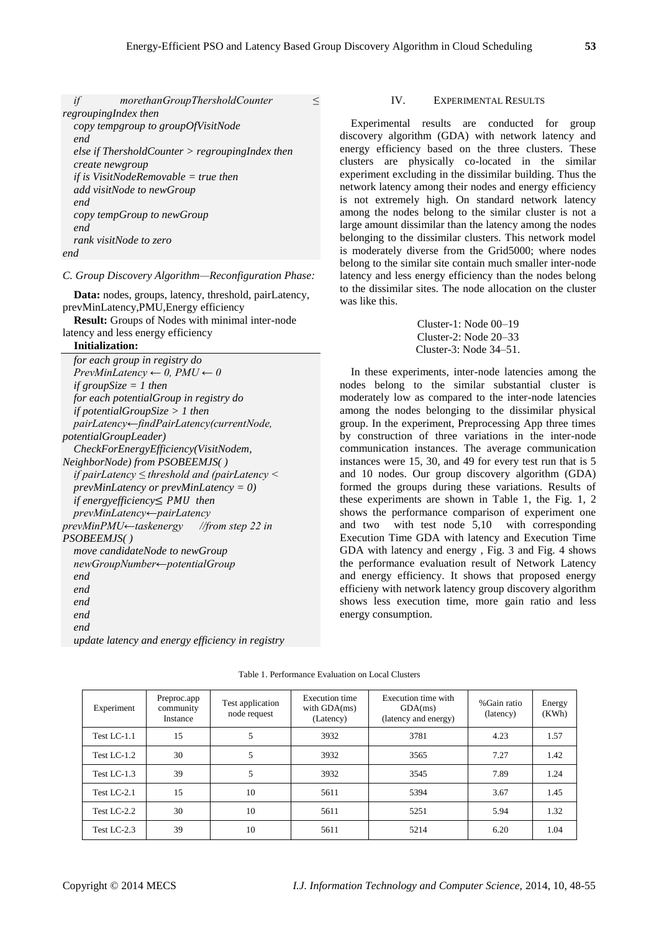| if   | morethanGroupThersholdCounter                     |  |
|------|---------------------------------------------------|--|
|      | regroupingIndex then                              |  |
|      | copy tempgroup to groupOfVisitNode                |  |
| end. |                                                   |  |
|      | else if ThersholdCounter $>$ regroupingIndex then |  |
|      | create newgroup                                   |  |
|      | if is VisitNodeRemovable = true then              |  |
|      | add visitNode to newGroup                         |  |
| end. |                                                   |  |
|      | copy tempGroup to newGroup                        |  |
| end. |                                                   |  |
|      | rank visitNode to zero                            |  |
| end  |                                                   |  |

#### *C. Group Discovery Algorithm—Reconfiguration Phase:*

**Data:** nodes, groups, latency, threshold, pairLatency, prevMinLatency,PMU,Energy efficiency

**Result:** Groups of Nodes with minimal inter-node latency and less energy efficiency

## **Initialization:**

| for each group in registry do                           |
|---------------------------------------------------------|
| $PrewMinLatency \leftarrow 0, PMU \leftarrow 0$         |
| if group $Size = 1$ then                                |
| for each potential Group in registry do                 |
| if potentialGroupSize $> 1$ then                        |
| pairLatency-findPairLatency(currentNode,                |
| potentialGroupLeader)                                   |
| CheckForEnergyEfficiency(VisitNodem,                    |
| NeighborNode) from PSOBEEMJS()                          |
| if pairLatency $\leq$ threshold and (pairLatency $\leq$ |
| $prevMinLatency$ or $prevMinLatency = 0$ )              |
| if energy efficiency $\leq$ PMU then                    |
| $prevMinLatency \leftarrow pairLatency$                 |
| prevMinPMU←taskenergy //from step 22 in                 |
| PSOBEEMJS( )                                            |
| move candidateNode to newGroup                          |
| newGroupNumber <del>(potentialGroup</del>               |
| end                                                     |
| end.                                                    |
| end.                                                    |
| end                                                     |
| end                                                     |
| update latency and energy efficiency in registry        |

#### IV. EXPERIMENTAL RESULTS

Experimental results are conducted for group discovery algorithm (GDA) with network latency and energy efficiency based on the three clusters. These clusters are physically co-located in the similar experiment excluding in the dissimilar building. Thus the network latency among their nodes and energy efficiency is not extremely high. On standard network latency among the nodes belong to the similar cluster is not a large amount dissimilar than the latency among the nodes belonging to the dissimilar clusters. This network model is moderately diverse from the Grid5000; where nodes belong to the similar site contain much smaller inter-node latency and less energy efficiency than the nodes belong to the dissimilar sites. The node allocation on the cluster was like this.

> Cluster-1: Node 00–19 Cluster-2: Node 20–33 Cluster-3: Node 34–51.

In these experiments, inter-node latencies among the nodes belong to the similar substantial cluster is moderately low as compared to the inter-node latencies among the nodes belonging to the dissimilar physical group. In the experiment, Preprocessing App three times by construction of three variations in the inter-node communication instances. The average communication instances were 15, 30, and 49 for every test run that is 5 and 10 nodes. Our group discovery algorithm (GDA) formed the groups during these variations. Results of these experiments are shown in Table 1, the Fig. 1, 2 shows the performance comparison of experiment one and two with test node 5,10 with corresponding Execution Time GDA with latency and Execution Time GDA with latency and energy , Fig. 3 and Fig. 4 shows the performance evaluation result of Network Latency and energy efficiency. It shows that proposed energy efficieny with network latency group discovery algorithm shows less execution time, more gain ratio and less energy consumption.

| Experiment    | Preproc.app<br>community<br>Instance | Test application<br>node request | Execution time<br>with $GDA(ms)$<br>(Latency) | Execution time with<br>GDA(ms)<br>(latency and energy) | % Gain ratio<br>(latency) | Energy<br>(KWh) |
|---------------|--------------------------------------|----------------------------------|-----------------------------------------------|--------------------------------------------------------|---------------------------|-----------------|
| Test LC-1.1   | 15                                   | 5                                | 3932                                          | 3781                                                   | 4.23                      | 1.57            |
| Test $LC-1.2$ | 30                                   | 5                                | 3932                                          | 3565                                                   | 7.27                      | 1.42            |
| Test $LC-1.3$ | 39                                   |                                  | 3932                                          | 3545                                                   | 7.89                      | 1.24            |
| Test $LC-2.1$ | 15                                   | 10                               | 5611                                          | 5394                                                   | 3.67                      | 1.45            |
| Test LC-2.2   | 30                                   | 10                               | 5611                                          | 5251                                                   | 5.94                      | 1.32            |
| Test LC-2.3   | 39                                   | 10                               | 5611                                          | 5214                                                   | 6.20                      | 1.04            |

Table 1. Performance Evaluation on Local Clusters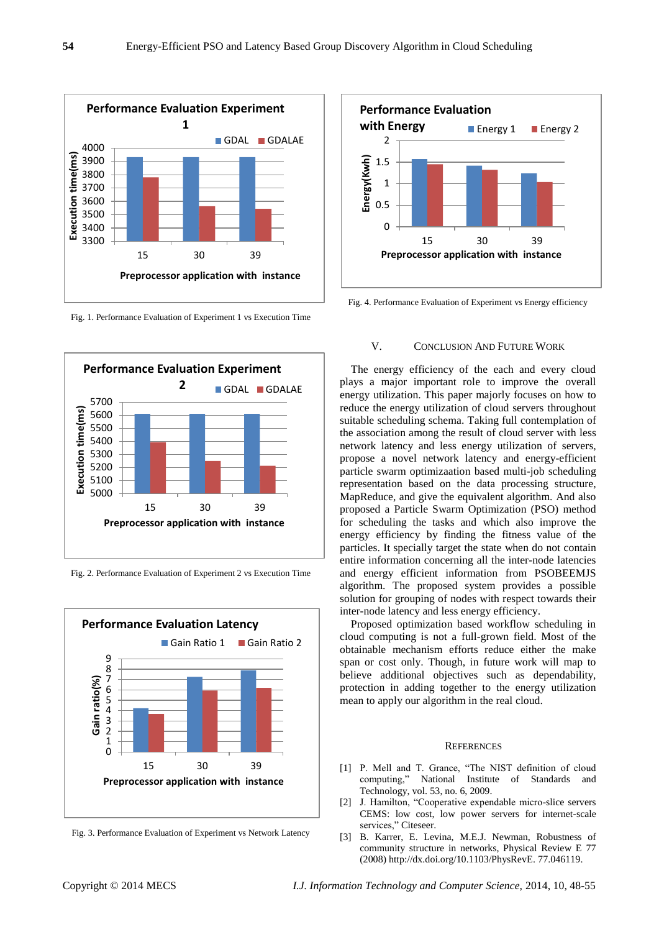

Fig. 1. Performance Evaluation of Experiment 1 vs Execution Time



Fig. 2. Performance Evaluation of Experiment 2 vs Execution Time



Fig. 3. Performance Evaluation of Experiment vs Network Latency



Fig. 4. Performance Evaluation of Experiment vs Energy efficiency

#### V. CONCLUSION AND FUTURE WORK

The energy efficiency of the each and every cloud plays a major important role to improve the overall energy utilization. This paper majorly focuses on how to reduce the energy utilization of cloud servers throughout suitable scheduling schema. Taking full contemplation of the association among the result of cloud server with less network latency and less energy utilization of servers, propose a novel network latency and energy-efficient particle swarm optimizaation based multi-job scheduling representation based on the data processing structure, MapReduce, and give the equivalent algorithm. And also proposed a Particle Swarm Optimization (PSO) method for scheduling the tasks and which also improve the energy efficiency by finding the fitness value of the particles. It specially target the state when do not contain entire information concerning all the inter-node latencies and energy efficient information from PSOBEEMJS algorithm. The proposed system provides a possible solution for grouping of nodes with respect towards their inter-node latency and less energy efficiency.

Proposed optimization based workflow scheduling in cloud computing is not a full-grown field. Most of the obtainable mechanism efforts reduce either the make span or cost only. Though, in future work will map to believe additional objectives such as dependability, protection in adding together to the energy utilization mean to apply our algorithm in the real cloud.

#### **REFERENCES**

- [1] P. Mell and T. Grance, "The NIST definition of cloud computing," National Institute of Standards and Technology, vol. 53, no. 6, 2009.
- [2] J. Hamilton, "Cooperative expendable micro-slice servers CEMS: low cost, low power servers for internet-scale services," Citeseer.
- [3] B. Karrer, E. Levina, M.E.J. Newman, Robustness of community structure in networks, Physical Review E 77 (2008[\) http://dx.doi.org/10.1103/PhysRevE.](http://dx.doi.org/10.1103/PhysRevE) 77.046119.